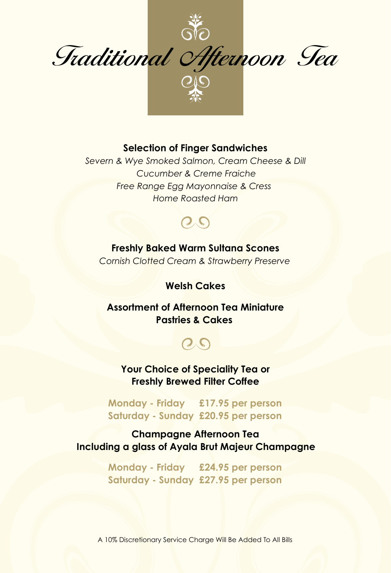

#### **Selection of Finger Sandwiches**

*Severn & Wye Smoked Salmon, Cream Cheese & Dill Cucumber & Creme Fraiche Free Range Egg Mayonnaise & Cress Home Roasted Ham*

## $QQ$

**Freshly Baked Warm Sultana Scones** *Cornish Clotted Cream & Strawberry Preserve*

#### **Welsh Cakes**

**Assortment of Afternoon Tea Miniature Pastries & Cakes**

# $Q_{\mathcal{S}}$

**Your Choice of Speciality Tea or Freshly Brewed Filter Coffee**

**Monday - Friday £17.95 per person Saturday - Sunday £20.95 per person**

#### **Champagne Afternoon Tea Including a glass of Ayala Brut Majeur Champagne**

**Monday - Friday £24.95 per person Saturday - Sunday £27.95 per person**

A 10% Discretionary Service Charge Will Be Added To All Bills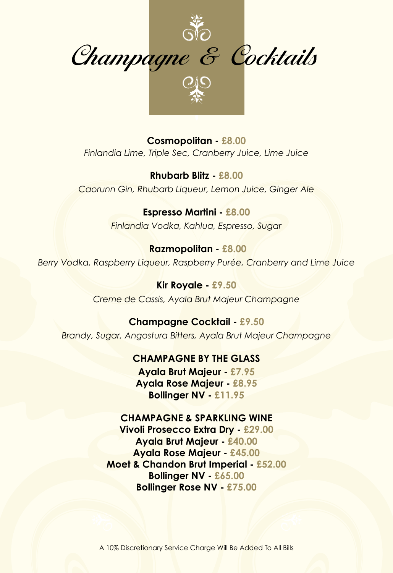

**Selection of Finger Sandwiches English Breakfast** *(Black) Finlandia Lime, Triple Sec, Cranberry Juice, Lime Juice* **Cosmopolitan - £8.00**

*Cucumber, Dill and Cream Cheese*  **Rhubarb Blitz - £8.00** *Free Range Egg Mayonnaise and Cress*  **Assam, Mokalbari Estate** *(Black) Caorunn Gin, Rhubarb Liqueur, Lemon Juice, Ginger Ale*

> *Classic notes of sweet malt.* **Espresso Martini - £8.00** *Finlandia Vodka, Kahlua, Espresso, Sugar*

**Freshly Baked Warm Sultana Scones** *A blend of a black tea from antique trees and bergamot oil*   **Razmopolitan - £8.00** *with Cornish Clotted Cream and Strawberry Preserve from Sicily. Berry Vodka, Raspberry Liqueur, Raspberry Purée, Cranberry and Lime Juice*

> **Kir Royale - £9.50 Assortment of Afternoon Tea Miniature**  *From Fujian Province, China. Incredibly sweet and floral with Creme de Cassis, Ayala Brut Majeur Champagne*

**Pastries and Cakes Champagne Cocktail - £9.50 Iron Goddess of Mercy** *(Oolong) Brandy, Sugar, Angostura Bitters, Ayala Brut Majeur Champagne*

*body and sweet finish.* **CHAMPAGNE BY THE GLASS**

**Your Choice Ayala Brut Majeur - £7.95 Freshly Brewed Filter Coffee Blood Orange** *(Puerh)* **Ayala Rose Majeur - £8.95 £16.50 per person** *Succulent and soothing blend. The rich body of the puerh tea working*  **Bollinger NV - £11.95**

**Vivoli Prosecco Extra Dry - £29.00**<br> **Argela Baut Mateur - 640.00 Including a glass of Mercier Champagne** *The fresh minty flavour and aroma is perfectly balanced with the*  **Ayala Rose Majeur - £45.00 E22.00**<br>**Performance of a sweet edge to the blend of added to the blend.** The highest system of a sweet edge to the highest system of a sweet edge to the highest system of a sweet edge to the sweet system of a sweet edge *IN HARMONY CHAMPAGNE & SPARKLING WINE* **Peppermint** *(Rooibos)* **Ayala Brut Majeur - £40.00 bergamot of the single infusion. Caffeine free. Caffeine free. Caffeine free. Caffeine free. Caffeine free. Caffeine free. Caffeine free. Caffeine free. Caffeine free. Caffeine free. Caffeine free. Caffeine free. Caffeine Bollinger Rose NV - £75.00**